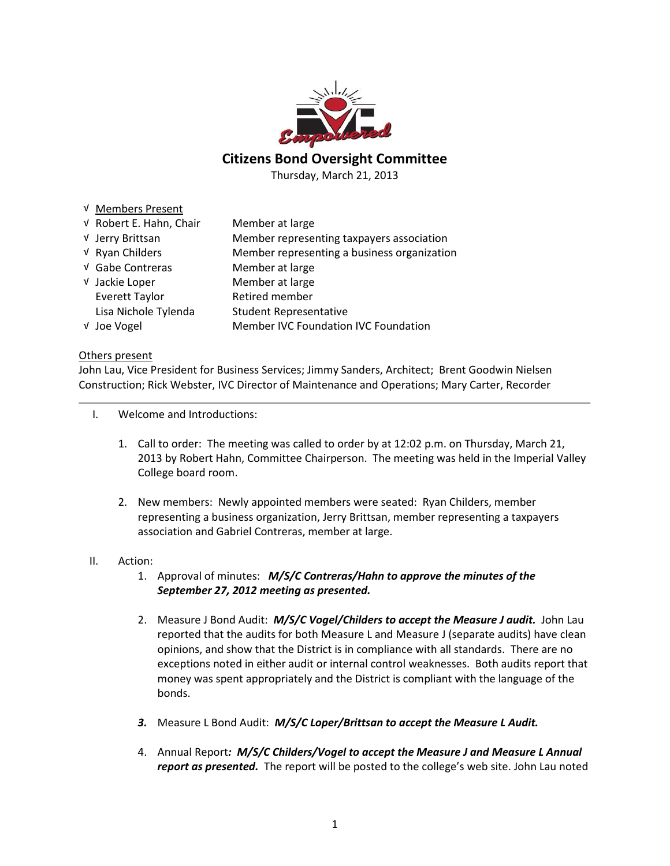

# Citizens Bond Oversight Committee

Thursday, March 21, 2013

## √ Members Present

| V Robert E. Hahn, Chair | Member at large                             |
|-------------------------|---------------------------------------------|
| √ Jerry Brittsan        | Member representing taxpayers association   |
| √ Ryan Childers         | Member representing a business organization |
| √ Gabe Contreras        | Member at large                             |
| V Jackie Loper          | Member at large                             |
| Everett Taylor          | Retired member                              |
| Lisa Nichole Tylenda    | <b>Student Representative</b>               |
| V Joe Vogel             | Member IVC Foundation IVC Foundation        |

#### Others present

John Lau, Vice President for Business Services; Jimmy Sanders, Architect; Brent Goodwin Nielsen Construction; Rick Webster, IVC Director of Maintenance and Operations; Mary Carter, Recorder

I. Welcome and Introductions:

- 1. Call to order: The meeting was called to order by at 12:02 p.m. on Thursday, March 21, 2013 by Robert Hahn, Committee Chairperson. The meeting was held in the Imperial Valley College board room.
- 2. New members: Newly appointed members were seated: Ryan Childers, member representing a business organization, Jerry Brittsan, member representing a taxpayers association and Gabriel Contreras, member at large.

## II. Action:

- 1. Approval of minutes: M/S/C Contreras/Hahn to approve the minutes of the September 27, 2012 meeting as presented.
- 2. Measure J Bond Audit: M/S/C Vogel/Childers to accept the Measure J audit. John Lau reported that the audits for both Measure L and Measure J (separate audits) have clean opinions, and show that the District is in compliance with all standards. There are no exceptions noted in either audit or internal control weaknesses. Both audits report that money was spent appropriately and the District is compliant with the language of the bonds.
- 3. Measure L Bond Audit: M/S/C Loper/Brittsan to accept the Measure L Audit.
- 4. Annual Report: M/S/C Childers/Vogel to accept the Measure J and Measure L Annual report as presented. The report will be posted to the college's web site. John Lau noted